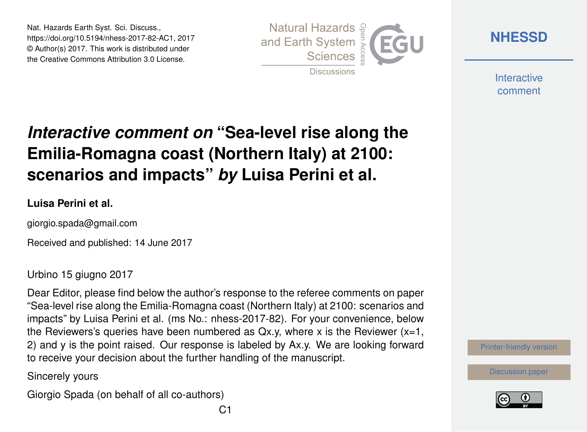Nat. Hazards Earth Syst. Sci. Discuss., https://doi.org/10.5194/nhess-2017-82-AC1, 2017 © Author(s) 2017. This work is distributed under the Creative Commons Attribution 3.0 License.



**[NHESSD](http://www.nat-hazards-earth-syst-sci-discuss.net/)**

**Interactive** comment

# *Interactive comment on* **"Sea-level rise along the Emilia-Romagna coast (Northern Italy) at 2100: scenarios and impacts"** *by* **Luisa Perini et al.**

**Luisa Perini et al.**

giorgio.spada@gmail.com

Received and published: 14 June 2017

Urbino 15 giugno 2017

Dear Editor, please find below the author's response to the referee comments on paper "Sea-level rise along the Emilia-Romagna coast (Northern Italy) at 2100: scenarios and impacts" by Luisa Perini et al. (ms No.: nhess-2017-82). For your convenience, below the Reviewers's queries have been numbered as  $Qx.y$ , where x is the Reviewer  $(x=1,$ 2) and y is the point raised. Our response is labeled by Ax.y. We are looking forward to receive your decision about the further handling of the manuscript.

Sincerely yours

Giorgio Spada (on behalf of all co-authors)

[Printer-friendly version](http://www.nat-hazards-earth-syst-sci-discuss.net/nhess-2017-82/nhess-2017-82-AC1-print.pdf)

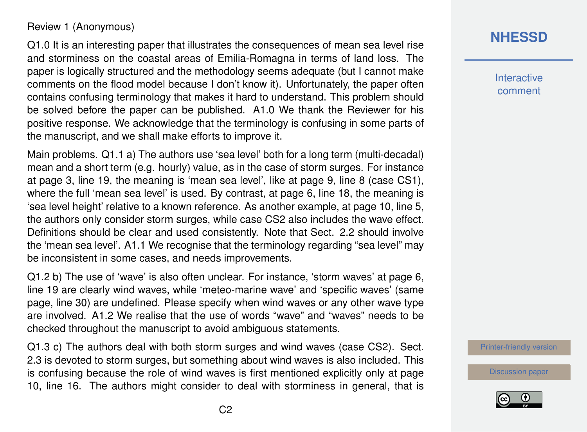#### Review 1 (Anonymous)

Q1.0 It is an interesting paper that illustrates the consequences of mean sea level rise and storminess on the coastal areas of Emilia-Romagna in terms of land loss. The paper is logically structured and the methodology seems adequate (but I cannot make comments on the flood model because I don't know it). Unfortunately, the paper often contains confusing terminology that makes it hard to understand. This problem should be solved before the paper can be published. A1.0 We thank the Reviewer for his positive response. We acknowledge that the terminology is confusing in some parts of the manuscript, and we shall make efforts to improve it.

Main problems. Q1.1 a) The authors use 'sea level' both for a long term (multi-decadal) mean and a short term (e.g. hourly) value, as in the case of storm surges. For instance at page 3, line 19, the meaning is 'mean sea level', like at page 9, line 8 (case CS1), where the full 'mean sea level' is used. By contrast, at page 6, line 18, the meaning is 'sea level height' relative to a known reference. As another example, at page 10, line 5, the authors only consider storm surges, while case CS2 also includes the wave effect. Definitions should be clear and used consistently. Note that Sect. 2.2 should involve the 'mean sea level'. A1.1 We recognise that the terminology regarding "sea level" may be inconsistent in some cases, and needs improvements.

Q1.2 b) The use of 'wave' is also often unclear. For instance, 'storm waves' at page 6, line 19 are clearly wind waves, while 'meteo-marine wave' and 'specific waves' (same page, line 30) are undefined. Please specify when wind waves or any other wave type are involved. A1.2 We realise that the use of words "wave" and "waves" needs to be checked throughout the manuscript to avoid ambiguous statements.

Q1.3 c) The authors deal with both storm surges and wind waves (case CS2). Sect. 2.3 is devoted to storm surges, but something about wind waves is also included. This is confusing because the role of wind waves is first mentioned explicitly only at page 10, line 16. The authors might consider to deal with storminess in general, that is



**Interactive** comment

[Printer-friendly version](http://www.nat-hazards-earth-syst-sci-discuss.net/nhess-2017-82/nhess-2017-82-AC1-print.pdf)

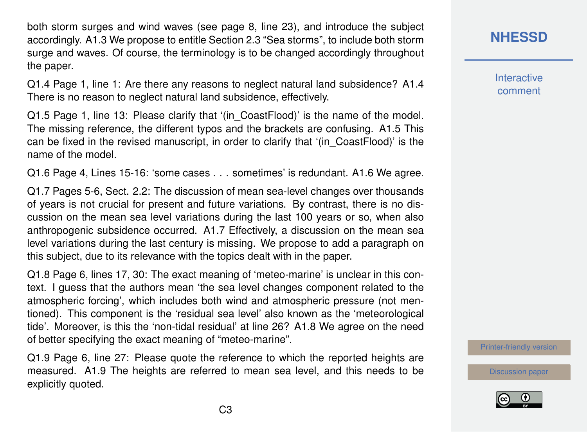both storm surges and wind waves (see page 8, line 23), and introduce the subject accordingly. A1.3 We propose to entitle Section 2.3 "Sea storms", to include both storm surge and waves. Of course, the terminology is to be changed accordingly throughout the paper.

Q1.4 Page 1, line 1: Are there any reasons to neglect natural land subsidence? A1.4 There is no reason to neglect natural land subsidence, effectively.

Q1.5 Page 1, line 13: Please clarify that '(in\_CoastFlood)' is the name of the model. The missing reference, the different typos and the brackets are confusing. A1.5 This can be fixed in the revised manuscript, in order to clarify that '(in\_CoastFlood)' is the name of the model.

Q1.6 Page 4, Lines 15-16: 'some cases . . . sometimes' is redundant. A1.6 We agree.

Q1.7 Pages 5-6, Sect. 2.2: The discussion of mean sea-level changes over thousands of years is not crucial for present and future variations. By contrast, there is no discussion on the mean sea level variations during the last 100 years or so, when also anthropogenic subsidence occurred. A1.7 Effectively, a discussion on the mean sea level variations during the last century is missing. We propose to add a paragraph on this subject, due to its relevance with the topics dealt with in the paper.

Q1.8 Page 6, lines 17, 30: The exact meaning of 'meteo-marine' is unclear in this context. I guess that the authors mean 'the sea level changes component related to the atmospheric forcing', which includes both wind and atmospheric pressure (not mentioned). This component is the 'residual sea level' also known as the 'meteorological tide'. Moreover, is this the 'non-tidal residual' at line 26? A1.8 We agree on the need of better specifying the exact meaning of "meteo-marine".

Q1.9 Page 6, line 27: Please quote the reference to which the reported heights are measured. A1.9 The heights are referred to mean sea level, and this needs to be explicitly quoted.

## **[NHESSD](http://www.nat-hazards-earth-syst-sci-discuss.net/)**

**Interactive** comment

[Printer-friendly version](http://www.nat-hazards-earth-syst-sci-discuss.net/nhess-2017-82/nhess-2017-82-AC1-print.pdf)

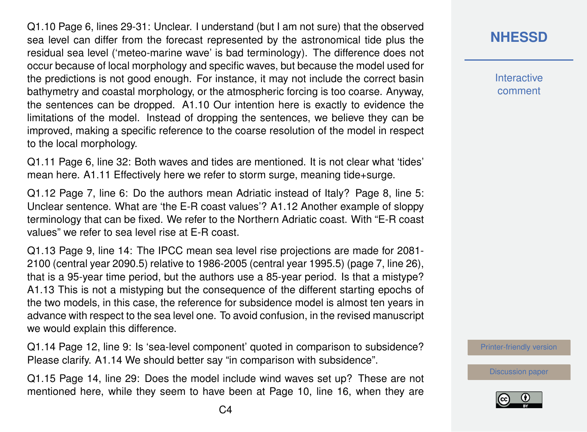Q1.10 Page 6, lines 29-31: Unclear. I understand (but I am not sure) that the observed sea level can differ from the forecast represented by the astronomical tide plus the residual sea level ('meteo-marine wave' is bad terminology). The difference does not occur because of local morphology and specific waves, but because the model used for the predictions is not good enough. For instance, it may not include the correct basin bathymetry and coastal morphology, or the atmospheric forcing is too coarse. Anyway, the sentences can be dropped. A1.10 Our intention here is exactly to evidence the limitations of the model. Instead of dropping the sentences, we believe they can be improved, making a specific reference to the coarse resolution of the model in respect to the local morphology.

Q1.11 Page 6, line 32: Both waves and tides are mentioned. It is not clear what 'tides' mean here. A1.11 Effectively here we refer to storm surge, meaning tide+surge.

Q1.12 Page 7, line 6: Do the authors mean Adriatic instead of Italy? Page 8, line 5: Unclear sentence. What are 'the E-R coast values'? A1.12 Another example of sloppy terminology that can be fixed. We refer to the Northern Adriatic coast. With "E-R coast values" we refer to sea level rise at E-R coast.

Q1.13 Page 9, line 14: The IPCC mean sea level rise projections are made for 2081- 2100 (central year 2090.5) relative to 1986-2005 (central year 1995.5) (page 7, line 26), that is a 95-year time period, but the authors use a 85-year period. Is that a mistype? A1.13 This is not a mistyping but the consequence of the different starting epochs of the two models, in this case, the reference for subsidence model is almost ten years in advance with respect to the sea level one. To avoid confusion, in the revised manuscript we would explain this difference.

Q1.14 Page 12, line 9: Is 'sea-level component' quoted in comparison to subsidence? Please clarify. A1.14 We should better say "in comparison with subsidence".

Q1.15 Page 14, line 29: Does the model include wind waves set up? These are not mentioned here, while they seem to have been at Page 10, line 16, when they are

#### **[NHESSD](http://www.nat-hazards-earth-syst-sci-discuss.net/)**

**Interactive** comment

[Printer-friendly version](http://www.nat-hazards-earth-syst-sci-discuss.net/nhess-2017-82/nhess-2017-82-AC1-print.pdf)

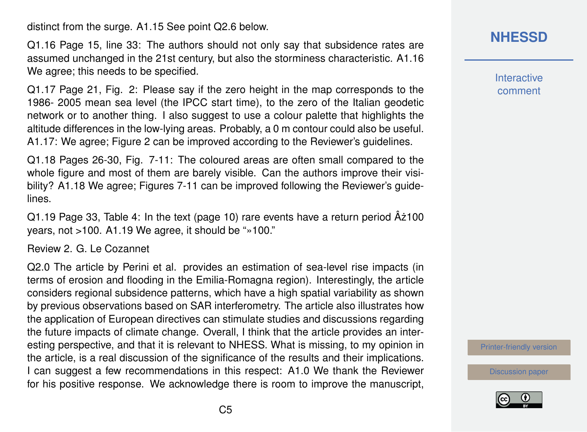distinct from the surge. A1.15 See point Q2.6 below.

Q1.16 Page 15, line 33: The authors should not only say that subsidence rates are assumed unchanged in the 21st century, but also the storminess characteristic. A1.16 We agree; this needs to be specified.

Q1.17 Page 21, Fig. 2: Please say if the zero height in the map corresponds to the 1986- 2005 mean sea level (the IPCC start time), to the zero of the Italian geodetic network or to another thing. I also suggest to use a colour palette that highlights the altitude differences in the low-lying areas. Probably, a 0 m contour could also be useful. A1.17: We agree; Figure 2 can be improved according to the Reviewer's guidelines.

Q1.18 Pages 26-30, Fig. 7-11: The coloured areas are often small compared to the whole figure and most of them are barely visible. Can the authors improve their visibility? A1.18 We agree; Figures 7-11 can be improved following the Reviewer's guidelines.

Q1.19 Page 33, Table 4: In the text (page 10) rare events have a return period  $\hat{A}z100$ years, not >100. A1.19 We agree, it should be "»100."

Review 2. G. Le Cozannet

Q2.0 The article by Perini et al. provides an estimation of sea-level rise impacts (in terms of erosion and flooding in the Emilia-Romagna region). Interestingly, the article considers regional subsidence patterns, which have a high spatial variability as shown by previous observations based on SAR interferometry. The article also illustrates how the application of European directives can stimulate studies and discussions regarding the future impacts of climate change. Overall, I think that the article provides an interesting perspective, and that it is relevant to NHESS. What is missing, to my opinion in the article, is a real discussion of the significance of the results and their implications. I can suggest a few recommendations in this respect: A1.0 We thank the Reviewer for his positive response. We acknowledge there is room to improve the manuscript,

**[NHESSD](http://www.nat-hazards-earth-syst-sci-discuss.net/)**

**Interactive** comment

[Printer-friendly version](http://www.nat-hazards-earth-syst-sci-discuss.net/nhess-2017-82/nhess-2017-82-AC1-print.pdf)

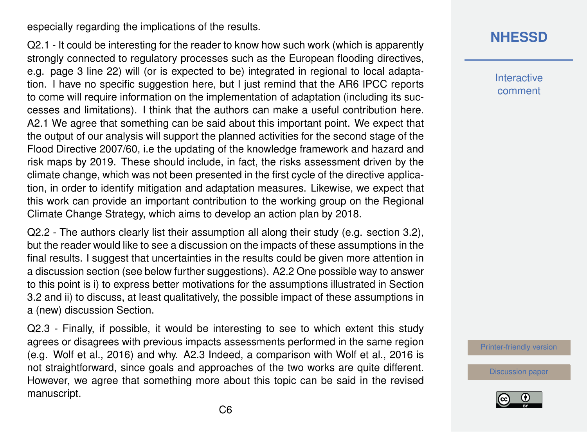especially regarding the implications of the results.

Q2.1 - It could be interesting for the reader to know how such work (which is apparently strongly connected to regulatory processes such as the European flooding directives, e.g. page 3 line 22) will (or is expected to be) integrated in regional to local adaptation. I have no specific suggestion here, but I just remind that the AR6 IPCC reports to come will require information on the implementation of adaptation (including its successes and limitations). I think that the authors can make a useful contribution here. A2.1 We agree that something can be said about this important point. We expect that the output of our analysis will support the planned activities for the second stage of the Flood Directive 2007/60, i.e the updating of the knowledge framework and hazard and risk maps by 2019. These should include, in fact, the risks assessment driven by the climate change, which was not been presented in the first cycle of the directive application, in order to identify mitigation and adaptation measures. Likewise, we expect that this work can provide an important contribution to the working group on the Regional Climate Change Strategy, which aims to develop an action plan by 2018.

Q2.2 - The authors clearly list their assumption all along their study (e.g. section 3.2), but the reader would like to see a discussion on the impacts of these assumptions in the final results. I suggest that uncertainties in the results could be given more attention in a discussion section (see below further suggestions). A2.2 One possible way to answer to this point is i) to express better motivations for the assumptions illustrated in Section 3.2 and ii) to discuss, at least qualitatively, the possible impact of these assumptions in a (new) discussion Section.

Q2.3 - Finally, if possible, it would be interesting to see to which extent this study agrees or disagrees with previous impacts assessments performed in the same region (e.g. Wolf et al., 2016) and why. A2.3 Indeed, a comparison with Wolf et al., 2016 is not straightforward, since goals and approaches of the two works are quite different. However, we agree that something more about this topic can be said in the revised manuscript.

**[NHESSD](http://www.nat-hazards-earth-syst-sci-discuss.net/)**

**Interactive** comment

[Printer-friendly version](http://www.nat-hazards-earth-syst-sci-discuss.net/nhess-2017-82/nhess-2017-82-AC1-print.pdf)

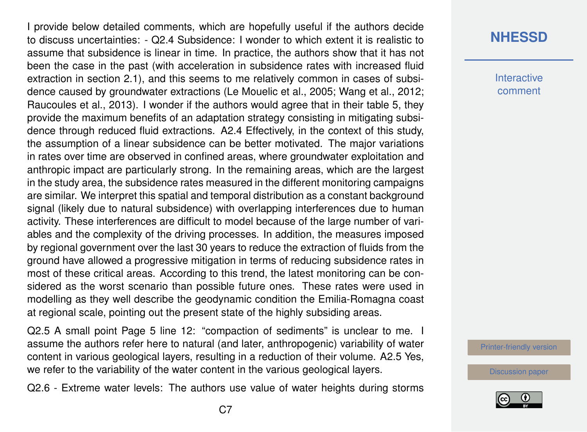I provide below detailed comments, which are hopefully useful if the authors decide to discuss uncertainties: - Q2.4 Subsidence: I wonder to which extent it is realistic to assume that subsidence is linear in time. In practice, the authors show that it has not been the case in the past (with acceleration in subsidence rates with increased fluid extraction in section 2.1), and this seems to me relatively common in cases of subsidence caused by groundwater extractions (Le Mouelic et al., 2005; Wang et al., 2012; Raucoules et al., 2013). I wonder if the authors would agree that in their table 5, they provide the maximum benefits of an adaptation strategy consisting in mitigating subsidence through reduced fluid extractions. A2.4 Effectively, in the context of this study, the assumption of a linear subsidence can be better motivated. The major variations in rates over time are observed in confined areas, where groundwater exploitation and anthropic impact are particularly strong. In the remaining areas, which are the largest in the study area, the subsidence rates measured in the different monitoring campaigns are similar. We interpret this spatial and temporal distribution as a constant background signal (likely due to natural subsidence) with overlapping interferences due to human activity. These interferences are difficult to model because of the large number of variables and the complexity of the driving processes. In addition, the measures imposed by regional government over the last 30 years to reduce the extraction of fluids from the ground have allowed a progressive mitigation in terms of reducing subsidence rates in most of these critical areas. According to this trend, the latest monitoring can be considered as the worst scenario than possible future ones. These rates were used in modelling as they well describe the geodynamic condition the Emilia-Romagna coast at regional scale, pointing out the present state of the highly subsiding areas.

Q2.5 A small point Page 5 line 12: "compaction of sediments" is unclear to me. I assume the authors refer here to natural (and later, anthropogenic) variability of water content in various geological layers, resulting in a reduction of their volume. A2.5 Yes, we refer to the variability of the water content in the various geological layers.

Q2.6 - Extreme water levels: The authors use value of water heights during storms

#### **[NHESSD](http://www.nat-hazards-earth-syst-sci-discuss.net/)**

**Interactive** comment

[Printer-friendly version](http://www.nat-hazards-earth-syst-sci-discuss.net/nhess-2017-82/nhess-2017-82-AC1-print.pdf)

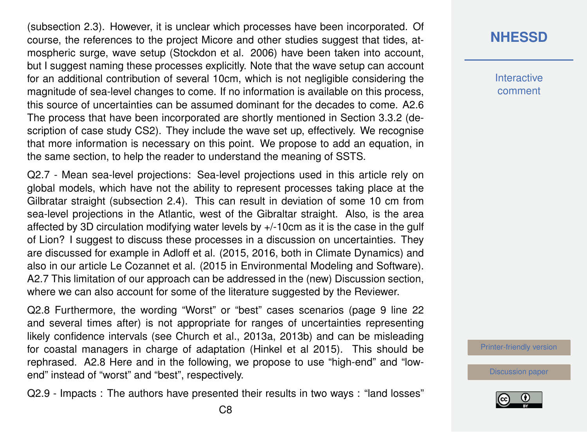(subsection 2.3). However, it is unclear which processes have been incorporated. Of course, the references to the project Micore and other studies suggest that tides, atmospheric surge, wave setup (Stockdon et al. 2006) have been taken into account, but I suggest naming these processes explicitly. Note that the wave setup can account for an additional contribution of several 10cm, which is not negligible considering the magnitude of sea-level changes to come. If no information is available on this process, this source of uncertainties can be assumed dominant for the decades to come. A2.6 The process that have been incorporated are shortly mentioned in Section 3.3.2 (description of case study CS2). They include the wave set up, effectively. We recognise that more information is necessary on this point. We propose to add an equation, in the same section, to help the reader to understand the meaning of SSTS.

Q2.7 - Mean sea-level projections: Sea-level projections used in this article rely on global models, which have not the ability to represent processes taking place at the Gilbratar straight (subsection 2.4). This can result in deviation of some 10 cm from sea-level projections in the Atlantic, west of the Gibraltar straight. Also, is the area affected by 3D circulation modifying water levels by +/-10cm as it is the case in the gulf of Lion? I suggest to discuss these processes in a discussion on uncertainties. They are discussed for example in Adloff et al. (2015, 2016, both in Climate Dynamics) and also in our article Le Cozannet et al. (2015 in Environmental Modeling and Software). A2.7 This limitation of our approach can be addressed in the (new) Discussion section, where we can also account for some of the literature suggested by the Reviewer.

Q2.8 Furthermore, the wording "Worst" or "best" cases scenarios (page 9 line 22 and several times after) is not appropriate for ranges of uncertainties representing likely confidence intervals (see Church et al., 2013a, 2013b) and can be misleading for coastal managers in charge of adaptation (Hinkel et al 2015). This should be rephrased. A2.8 Here and in the following, we propose to use "high-end" and "lowend" instead of "worst" and "best", respectively.

Q2.9 - Impacts : The authors have presented their results in two ways : "land losses"

#### **[NHESSD](http://www.nat-hazards-earth-syst-sci-discuss.net/)**

**Interactive** comment

[Printer-friendly version](http://www.nat-hazards-earth-syst-sci-discuss.net/nhess-2017-82/nhess-2017-82-AC1-print.pdf)

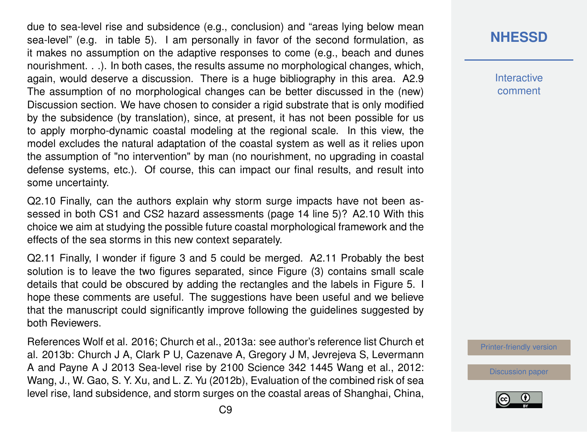due to sea-level rise and subsidence (e.g., conclusion) and "areas lying below mean sea-level" (e.g. in table 5). I am personally in favor of the second formulation, as it makes no assumption on the adaptive responses to come (e.g., beach and dunes nourishment. . .). In both cases, the results assume no morphological changes, which, again, would deserve a discussion. There is a huge bibliography in this area. A2.9 The assumption of no morphological changes can be better discussed in the (new) Discussion section. We have chosen to consider a rigid substrate that is only modified by the subsidence (by translation), since, at present, it has not been possible for us to apply morpho-dynamic coastal modeling at the regional scale. In this view, the model excludes the natural adaptation of the coastal system as well as it relies upon the assumption of "no intervention" by man (no nourishment, no upgrading in coastal defense systems, etc.). Of course, this can impact our final results, and result into some uncertainty.

Q2.10 Finally, can the authors explain why storm surge impacts have not been assessed in both CS1 and CS2 hazard assessments (page 14 line 5)? A2.10 With this choice we aim at studying the possible future coastal morphological framework and the effects of the sea storms in this new context separately.

Q2.11 Finally, I wonder if figure 3 and 5 could be merged. A2.11 Probably the best solution is to leave the two figures separated, since Figure (3) contains small scale details that could be obscured by adding the rectangles and the labels in Figure 5. I hope these comments are useful. The suggestions have been useful and we believe that the manuscript could significantly improve following the guidelines suggested by both Reviewers.

References Wolf et al. 2016; Church et al., 2013a: see author's reference list Church et al. 2013b: Church J A, Clark P U, Cazenave A, Gregory J M, Jevrejeva S, Levermann A and Payne A J 2013 Sea-level rise by 2100 Science 342 1445 Wang et al., 2012: Wang, J., W. Gao, S. Y. Xu, and L. Z. Yu (2012b), Evaluation of the combined risk of sea level rise, land subsidence, and storm surges on the coastal areas of Shanghai, China,

#### **[NHESSD](http://www.nat-hazards-earth-syst-sci-discuss.net/)**

**Interactive** comment

[Printer-friendly version](http://www.nat-hazards-earth-syst-sci-discuss.net/nhess-2017-82/nhess-2017-82-AC1-print.pdf)